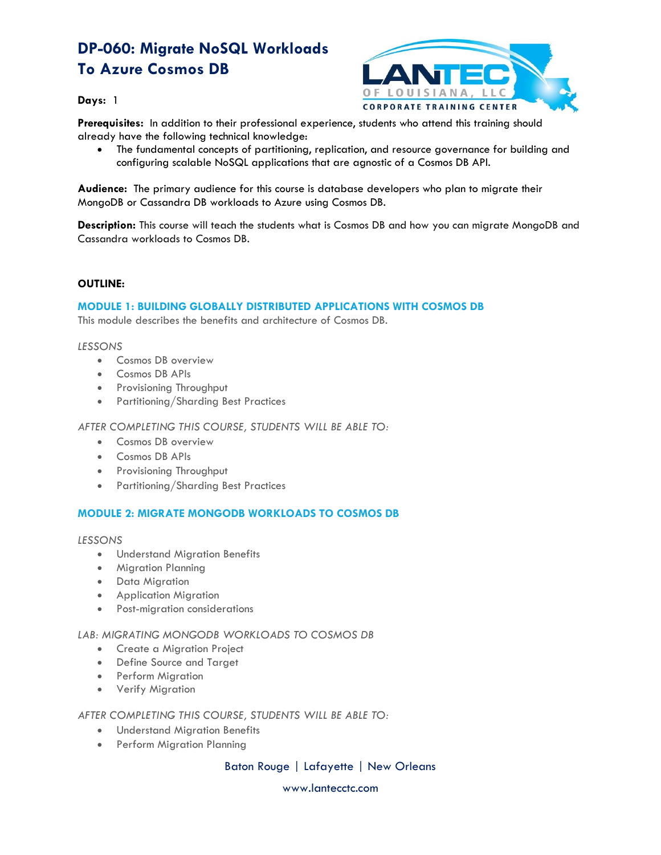# **DP-060: Migrate NoSQL Workloads To Azure Cosmos DB**



**Days:** 1

**Prerequisites:** In addition to their professional experience, students who attend this training should already have the following technical knowledge:

• The fundamental concepts of partitioning, replication, and resource governance for building and configuring scalable NoSQL applications that are agnostic of a Cosmos DB API.

**Audience:** The primary audience for this course is database developers who plan to migrate their MongoDB or Cassandra DB workloads to Azure using Cosmos DB.

**Description:** This course will teach the students what is Cosmos DB and how you can migrate MongoDB and Cassandra workloads to Cosmos DB.

### **OUTLINE:**

## **MODULE 1: BUILDING GLOBALLY DISTRIBUTED APPLICATIONS WITH COSMOS DB**

This module describes the benefits and architecture of Cosmos DB.

#### *LESSONS*

- Cosmos DB overview
- Cosmos DB APIs
- Provisioning Throughput
- Partitioning/Sharding Best Practices

*AFTER COMPLETING THIS COURSE, STUDENTS WILL BE ABLE TO:*

- Cosmos DB overview
- Cosmos DB APIs
- Provisioning Throughput
- Partitioning/Sharding Best Practices

## **MODULE 2: MIGRATE MONGODB WORKLOADS TO COSMOS DB**

*LESSONS*

- Understand Migration Benefits
- Migration Planning
- Data Migration
- Application Migration
- Post-migration considerations

### *LAB: MIGRATING MONGODB WORKLOADS TO COSMOS DB*

- Create a Migration Project
- Define Source and Target
- Perform Migration
- Verify Migration

*AFTER COMPLETING THIS COURSE, STUDENTS WILL BE ABLE TO:*

- Understand Migration Benefits
- Perform Migration Planning

Baton Rouge | Lafayette | New Orleans

www.lantecctc.com